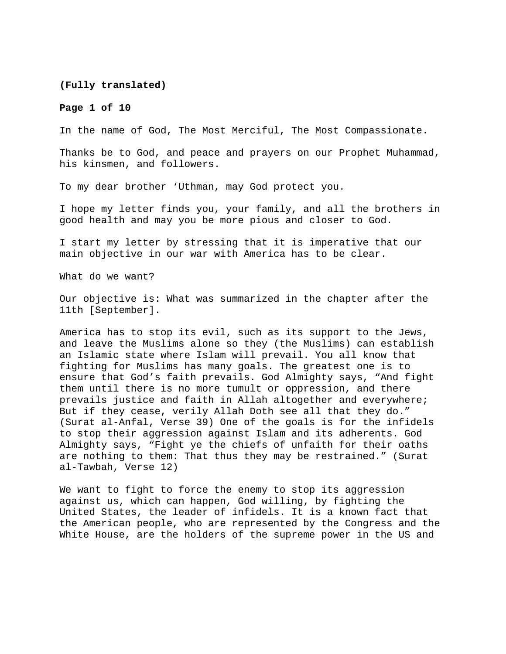**(Fully translated)** 

#### **Page 1 of 10**

In the name of God, The Most Merciful, The Most Compassionate.

Thanks be to God, and peace and prayers on our Prophet Muhammad, his kinsmen, and followers.

To my dear brother 'Uthman, may God protect you.

I hope my letter finds you, your family, and all the brothers in good health and may you be more pious and closer to God.

I start my letter by stressing that it is imperative that our main objective in our war with America has to be clear.

What do we want?

Our objective is: What was summarized in the chapter after the 11th [September].

America has to stop its evil, such as its support to the Jews, and leave the Muslims alone so they (the Muslims) can establish an Islamic state where Islam will prevail. You all know that fighting for Muslims has many goals. The greatest one is to ensure that God's faith prevails. God Almighty says, "And fight them until there is no more tumult or oppression, and there prevails justice and faith in Allah altogether and everywhere; But if they cease, verily Allah Doth see all that they do." (Surat al-Anfal, Verse 39) One of the goals is for the infidels to stop their aggression against Islam and its adherents. God Almighty says, "Fight ye the chiefs of unfaith for their oaths are nothing to them: That thus they may be restrained." (Surat al-Tawbah, Verse 12)

We want to fight to force the enemy to stop its aggression against us, which can happen, God willing, by fighting the United States, the leader of infidels. It is a known fact that the American people, who are represented by the Congress and the White House, are the holders of the supreme power in the US and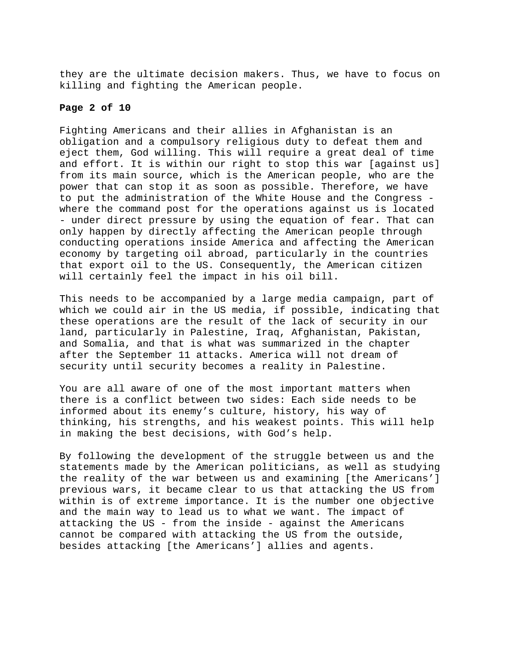they are the ultimate decision makers. Thus, we have to focus on killing and fighting the American people.

# **Page 2 of 10**

Fighting Americans and their allies in Afghanistan is an obligation and a compulsory religious duty to defeat them and eject them, God willing. This will require a great deal of time and effort. It is within our right to stop this war [against us] from its main source, which is the American people, who are the power that can stop it as soon as possible. Therefore, we have to put the administration of the White House and the Congress where the command post for the operations against us is located - under direct pressure by using the equation of fear. That can only happen by directly affecting the American people through conducting operations inside America and affecting the American economy by targeting oil abroad, particularly in the countries that export oil to the US. Consequently, the American citizen will certainly feel the impact in his oil bill.

This needs to be accompanied by a large media campaign, part of which we could air in the US media, if possible, indicating that these operations are the result of the lack of security in our land, particularly in Palestine, Iraq, Afghanistan, Pakistan, and Somalia, and that is what was summarized in the chapter after the September 11 attacks. America will not dream of security until security becomes a reality in Palestine.

You are all aware of one of the most important matters when there is a conflict between two sides: Each side needs to be informed about its enemy's culture, history, his way of thinking, his strengths, and his weakest points. This will help in making the best decisions, with God's help.

By following the development of the struggle between us and the statements made by the American politicians, as well as studying the reality of the war between us and examining [the Americans'] previous wars, it became clear to us that attacking the US from within is of extreme importance. It is the number one objective and the main way to lead us to what we want. The impact of attacking the US - from the inside - against the Americans cannot be compared with attacking the US from the outside, besides attacking [the Americans'] allies and agents.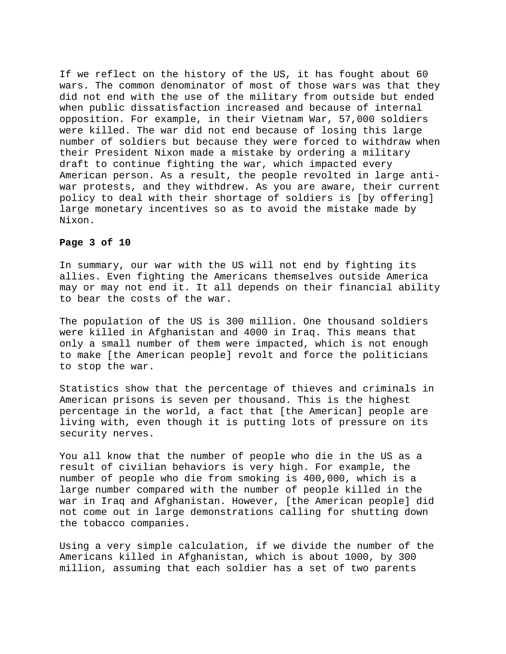If we reflect on the history of the US, it has fought about 60 wars. The common denominator of most of those wars was that they did not end with the use of the military from outside but ended when public dissatisfaction increased and because of internal opposition. For example, in their Vietnam War, 57,000 soldiers were killed. The war did not end because of losing this large number of soldiers but because they were forced to withdraw when their President Nixon made a mistake by ordering a military draft to continue fighting the war, which impacted every American person. As a result, the people revolted in large antiwar protests, and they withdrew. As you are aware, their current policy to deal with their shortage of soldiers is [by offering] large monetary incentives so as to avoid the mistake made by Nixon.

### **Page 3 of 10**

In summary, our war with the US will not end by fighting its allies. Even fighting the Americans themselves outside America may or may not end it. It all depends on their financial ability to bear the costs of the war.

The population of the US is 300 million. One thousand soldiers were killed in Afghanistan and 4000 in Iraq. This means that only a small number of them were impacted, which is not enough to make [the American people] revolt and force the politicians to stop the war.

Statistics show that the percentage of thieves and criminals in American prisons is seven per thousand. This is the highest percentage in the world, a fact that [the American] people are living with, even though it is putting lots of pressure on its security nerves.

You all know that the number of people who die in the US as a result of civilian behaviors is very high. For example, the number of people who die from smoking is 400,000, which is a large number compared with the number of people killed in the war in Iraq and Afghanistan. However, [the American people] did not come out in large demonstrations calling for shutting down the tobacco companies.

Using a very simple calculation, if we divide the number of the Americans killed in Afghanistan, which is about 1000, by 300 million, assuming that each soldier has a set of two parents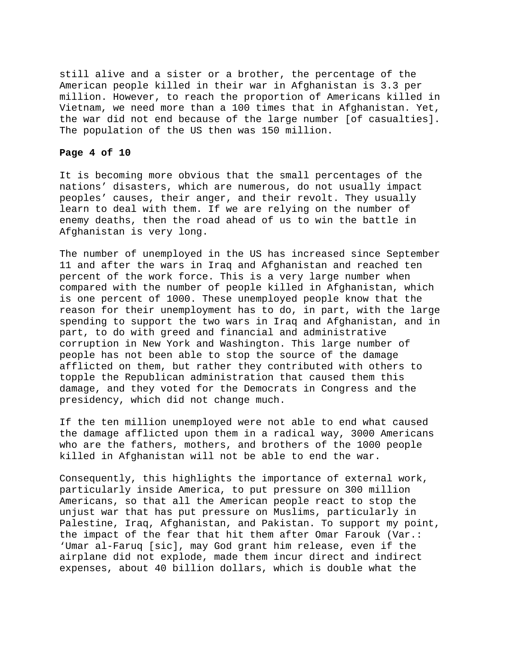still alive and a sister or a brother, the percentage of the American people killed in their war in Afghanistan is 3.3 per million. However, to reach the proportion of Americans killed in Vietnam, we need more than a 100 times that in Afghanistan. Yet, the war did not end because of the large number [of casualties]. The population of the US then was 150 million.

### **Page 4 of 10**

It is becoming more obvious that the small percentages of the nations' disasters, which are numerous, do not usually impact peoples' causes, their anger, and their revolt. They usually learn to deal with them. If we are relying on the number of enemy deaths, then the road ahead of us to win the battle in Afghanistan is very long.

The number of unemployed in the US has increased since September 11 and after the wars in Iraq and Afghanistan and reached ten percent of the work force. This is a very large number when compared with the number of people killed in Afghanistan, which is one percent of 1000. These unemployed people know that the reason for their unemployment has to do, in part, with the large spending to support the two wars in Iraq and Afghanistan, and in part, to do with greed and financial and administrative corruption in New York and Washington. This large number of people has not been able to stop the source of the damage afflicted on them, but rather they contributed with others to topple the Republican administration that caused them this damage, and they voted for the Democrats in Congress and the presidency, which did not change much.

If the ten million unemployed were not able to end what caused the damage afflicted upon them in a radical way, 3000 Americans who are the fathers, mothers, and brothers of the 1000 people killed in Afghanistan will not be able to end the war.

Consequently, this highlights the importance of external work, particularly inside America, to put pressure on 300 million Americans, so that all the American people react to stop the unjust war that has put pressure on Muslims, particularly in Palestine, Iraq, Afghanistan, and Pakistan. To support my point, the impact of the fear that hit them after Omar Farouk (Var.: 'Umar al-Faruq [sic], may God grant him release, even if the airplane did not explode, made them incur direct and indirect expenses, about 40 billion dollars, which is double what the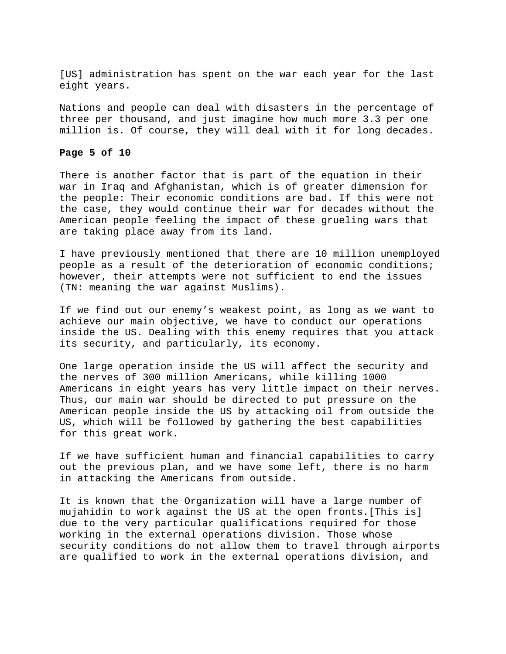[US] administration has spent on the war each year for the last eight years.

Nations and people can deal with disasters in the percentage of three per thousand, and just imagine how much more 3.3 per one million is. Of course, they will deal with it for long decades.

#### **Page 5 of 10**

There is another factor that is part of the equation in their war in Iraq and Afghanistan, which is of greater dimension for the people: Their economic conditions are bad. If this were not the case, they would continue their war for decades without the American people feeling the impact of these grueling wars that are taking place away from its land.

I have previously mentioned that there are 10 million unemployed people as a result of the deterioration of economic conditions; however, their attempts were not sufficient to end the issues (TN: meaning the war against Muslims).

If we find out our enemy's weakest point, as long as we want to achieve our main objective, we have to conduct our operations inside the US. Dealing with this enemy requires that you attack its security, and particularly, its economy.

One large operation inside the US will affect the security and the nerves of 300 million Americans, while killing 1000 Americans in eight years has very little impact on their nerves. Thus, our main war should be directed to put pressure on the American people inside the US by attacking oil from outside the US, which will be followed by gathering the best capabilities for this great work.

If we have sufficient human and financial capabilities to carry out the previous plan, and we have some left, there is no harm in attacking the Americans from outside.

It is known that the Organization will have a large number of mujahidin to work against the US at the open fronts.[This is] due to the very particular qualifications required for those working in the external operations division. Those whose security conditions do not allow them to travel through airports are qualified to work in the external operations division, and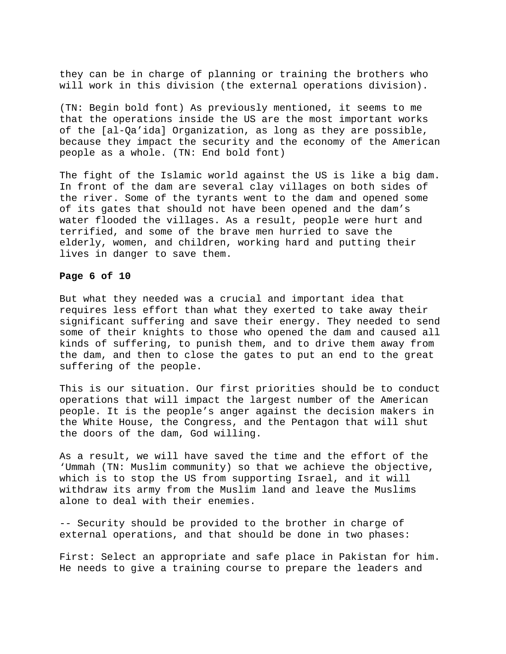they can be in charge of planning or training the brothers who will work in this division (the external operations division).

(TN: Begin bold font) As previously mentioned, it seems to me that the operations inside the US are the most important works of the [al-Qa'ida] Organization, as long as they are possible, because they impact the security and the economy of the American people as a whole. (TN: End bold font)

The fight of the Islamic world against the US is like a big dam. In front of the dam are several clay villages on both sides of the river. Some of the tyrants went to the dam and opened some of its gates that should not have been opened and the dam's water flooded the villages. As a result, people were hurt and terrified, and some of the brave men hurried to save the elderly, women, and children, working hard and putting their lives in danger to save them.

## **Page 6 of 10**

But what they needed was a crucial and important idea that requires less effort than what they exerted to take away their significant suffering and save their energy. They needed to send some of their knights to those who opened the dam and caused all kinds of suffering, to punish them, and to drive them away from the dam, and then to close the gates to put an end to the great suffering of the people.

This is our situation. Our first priorities should be to conduct operations that will impact the largest number of the American people. It is the people's anger against the decision makers in the White House, the Congress, and the Pentagon that will shut the doors of the dam, God willing.

As a result, we will have saved the time and the effort of the 'Ummah (TN: Muslim community) so that we achieve the objective, which is to stop the US from supporting Israel, and it will withdraw its army from the Muslim land and leave the Muslims alone to deal with their enemies.

-- Security should be provided to the brother in charge of external operations, and that should be done in two phases:

First: Select an appropriate and safe place in Pakistan for him. He needs to give a training course to prepare the leaders and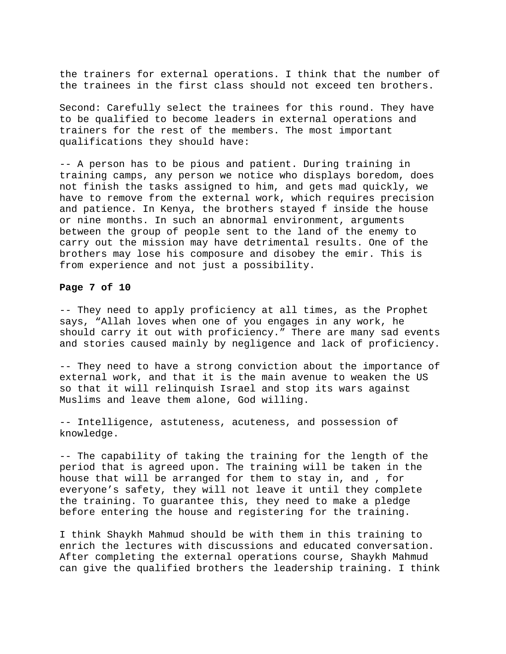the trainers for external operations. I think that the number of the trainees in the first class should not exceed ten brothers.

Second: Carefully select the trainees for this round. They have to be qualified to become leaders in external operations and trainers for the rest of the members. The most important qualifications they should have:

-- A person has to be pious and patient. During training in training camps, any person we notice who displays boredom, does not finish the tasks assigned to him, and gets mad quickly, we have to remove from the external work, which requires precision and patience. In Kenya, the brothers stayed f inside the house or nine months. In such an abnormal environment, arguments between the group of people sent to the land of the enemy to carry out the mission may have detrimental results. One of the brothers may lose his composure and disobey the emir. This is from experience and not just a possibility.

## **Page 7 of 10**

-- They need to apply proficiency at all times, as the Prophet says, "Allah loves when one of you engages in any work, he should carry it out with proficiency." There are many sad events and stories caused mainly by negligence and lack of proficiency.

-- They need to have a strong conviction about the importance of external work, and that it is the main avenue to weaken the US so that it will relinquish Israel and stop its wars against Muslims and leave them alone, God willing.

-- Intelligence, astuteness, acuteness, and possession of knowledge.

-- The capability of taking the training for the length of the period that is agreed upon. The training will be taken in the house that will be arranged for them to stay in, and , for everyone's safety, they will not leave it until they complete the training. To guarantee this, they need to make a pledge before entering the house and registering for the training.

I think Shaykh Mahmud should be with them in this training to enrich the lectures with discussions and educated conversation. After completing the external operations course, Shaykh Mahmud can give the qualified brothers the leadership training. I think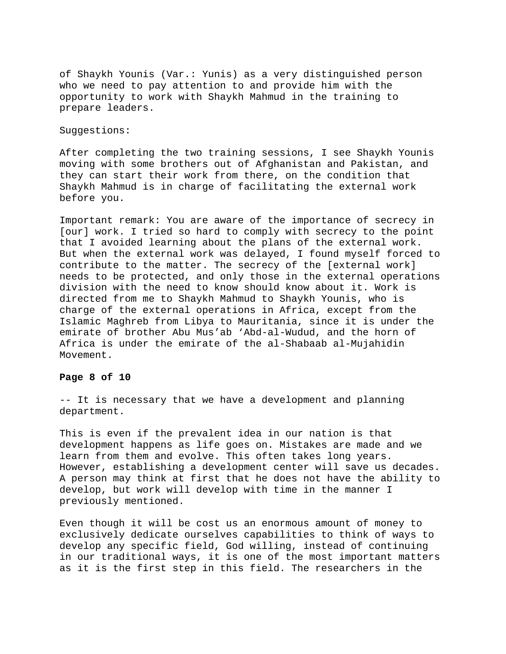of Shaykh Younis (Var.: Yunis) as a very distinguished person who we need to pay attention to and provide him with the opportunity to work with Shaykh Mahmud in the training to prepare leaders.

Suggestions:

After completing the two training sessions, I see Shaykh Younis moving with some brothers out of Afghanistan and Pakistan, and they can start their work from there, on the condition that Shaykh Mahmud is in charge of facilitating the external work before you.

Important remark: You are aware of the importance of secrecy in [our] work. I tried so hard to comply with secrecy to the point that I avoided learning about the plans of the external work. But when the external work was delayed, I found myself forced to contribute to the matter. The secrecy of the [external work] needs to be protected, and only those in the external operations division with the need to know should know about it. Work is directed from me to Shaykh Mahmud to Shaykh Younis, who is charge of the external operations in Africa, except from the Islamic Maghreb from Libya to Mauritania, since it is under the emirate of brother Abu Mus'ab 'Abd-al-Wudud, and the horn of Africa is under the emirate of the al-Shabaab al-Mujahidin Movement.

#### **Page 8 of 10**

-- It is necessary that we have a development and planning department.

This is even if the prevalent idea in our nation is that development happens as life goes on. Mistakes are made and we learn from them and evolve. This often takes long years. However, establishing a development center will save us decades. A person may think at first that he does not have the ability to develop, but work will develop with time in the manner I previously mentioned.

Even though it will be cost us an enormous amount of money to exclusively dedicate ourselves capabilities to think of ways to develop any specific field, God willing, instead of continuing in our traditional ways, it is one of the most important matters as it is the first step in this field. The researchers in the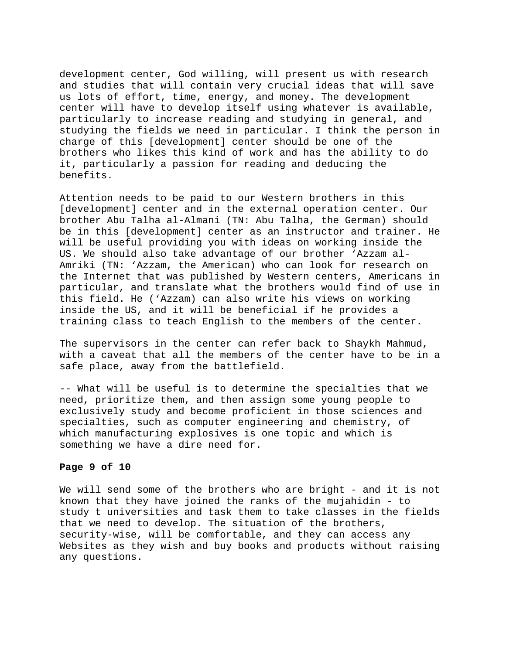development center, God willing, will present us with research and studies that will contain very crucial ideas that will save us lots of effort, time, energy, and money. The development center will have to develop itself using whatever is available, particularly to increase reading and studying in general, and studying the fields we need in particular. I think the person in charge of this [development] center should be one of the brothers who likes this kind of work and has the ability to do it, particularly a passion for reading and deducing the benefits.

Attention needs to be paid to our Western brothers in this [development] center and in the external operation center. Our brother Abu Talha al-Almani (TN: Abu Talha, the German) should be in this [development] center as an instructor and trainer. He will be useful providing you with ideas on working inside the US. We should also take advantage of our brother 'Azzam al-Amriki (TN: 'Azzam, the American) who can look for research on the Internet that was published by Western centers, Americans in particular, and translate what the brothers would find of use in this field. He ('Azzam) can also write his views on working inside the US, and it will be beneficial if he provides a training class to teach English to the members of the center.

The supervisors in the center can refer back to Shaykh Mahmud, with a caveat that all the members of the center have to be in a safe place, away from the battlefield.

-- What will be useful is to determine the specialties that we need, prioritize them, and then assign some young people to exclusively study and become proficient in those sciences and specialties, such as computer engineering and chemistry, of which manufacturing explosives is one topic and which is something we have a dire need for.

## **Page 9 of 10**

We will send some of the brothers who are bright - and it is not known that they have joined the ranks of the mujahidin - to study t universities and task them to take classes in the fields that we need to develop. The situation of the brothers, security-wise, will be comfortable, and they can access any Websites as they wish and buy books and products without raising any questions.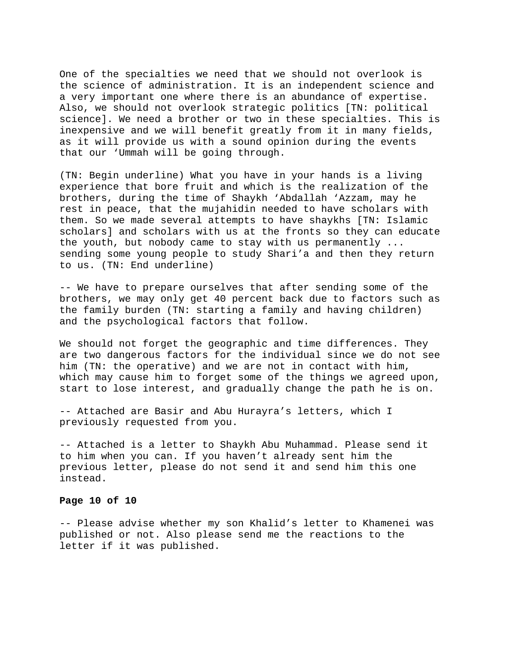One of the specialties we need that we should not overlook is the science of administration. It is an independent science and a very important one where there is an abundance of expertise. Also, we should not overlook strategic politics [TN: political science]. We need a brother or two in these specialties. This is inexpensive and we will benefit greatly from it in many fields, as it will provide us with a sound opinion during the events that our 'Ummah will be going through.

(TN: Begin underline) What you have in your hands is a living experience that bore fruit and which is the realization of the brothers, during the time of Shaykh 'Abdallah 'Azzam, may he rest in peace, that the mujahidin needed to have scholars with them. So we made several attempts to have shaykhs [TN: Islamic scholars] and scholars with us at the fronts so they can educate the youth, but nobody came to stay with us permanently ... sending some young people to study Shari'a and then they return to us. (TN: End underline)

-- We have to prepare ourselves that after sending some of the brothers, we may only get 40 percent back due to factors such as the family burden (TN: starting a family and having children) and the psychological factors that follow.

We should not forget the geographic and time differences. They are two dangerous factors for the individual since we do not see him (TN: the operative) and we are not in contact with him, which may cause him to forget some of the things we agreed upon, start to lose interest, and gradually change the path he is on.

-- Attached are Basir and Abu Hurayra's letters, which I previously requested from you.

-- Attached is a letter to Shaykh Abu Muhammad. Please send it to him when you can. If you haven't already sent him the previous letter, please do not send it and send him this one instead.

#### **Page 10 of 10**

-- Please advise whether my son Khalid's letter to Khamenei was published or not. Also please send me the reactions to the letter if it was published.